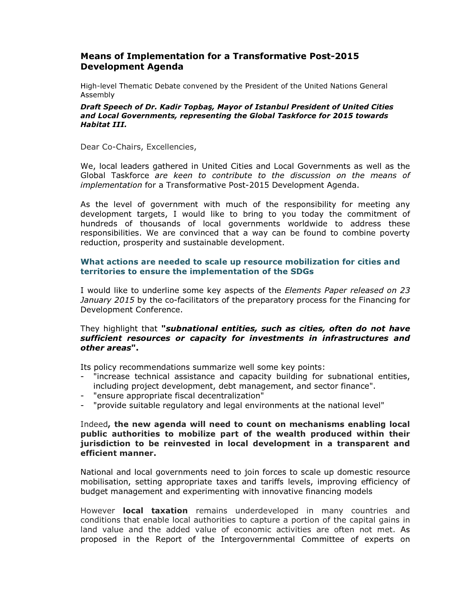# Means of Implementation for a Transformative Post-2015 Development Agenda

High-level Thematic Debate convened by the President of the United Nations General Assembly

#### Draft Speech of Dr. Kadir Topbaş, Mayor of Istanbul President of United Cities and Local Governments, representing the Global Taskforce for 2015 towards Habitat III.

Dear Co-Chairs, Excellencies,

We, local leaders gathered in United Cities and Local Governments as well as the Global Taskforce *are keen to contribute to the discussion on the means of implementation* for a Transformative Post-2015 Development Agenda.

As the level of government with much of the responsibility for meeting any development targets, I would like to bring to you today the commitment of hundreds of thousands of local governments worldwide to address these responsibilities. We are convinced that a way can be found to combine poverty reduction, prosperity and sustainable development.

## What actions are needed to scale up resource mobilization for cities and territories to ensure the implementation of the SDGs

I would like to underline some key aspects of the *Elements Paper released on 23 January 2015* by the co-facilitators of the preparatory process for the Financing for Development Conference.

### They highlight that "subnational entities, such as cities, often do not have sufficient resources or capacity for investments in infrastructures and other areas".

Its policy recommendations summarize well some key points:

- "increase technical assistance and capacity building for subnational entities, including project development, debt management, and sector finance".
- "ensure appropriate fiscal decentralization"
- "provide suitable regulatory and legal environments at the national level"

#### Indeed, the new agenda will need to count on mechanisms enabling local public authorities to mobilize part of the wealth produced within their jurisdiction to be reinvested in local development in a transparent and efficient manner.

National and local governments need to join forces to scale up domestic resource mobilisation, setting appropriate taxes and tariffs levels, improving efficiency of budget management and experimenting with innovative financing models

However **local taxation** remains underdeveloped in many countries and conditions that enable local authorities to capture a portion of the capital gains in land value and the added value of economic activities are often not met. As proposed in the Report of the Intergovernmental Committee of experts on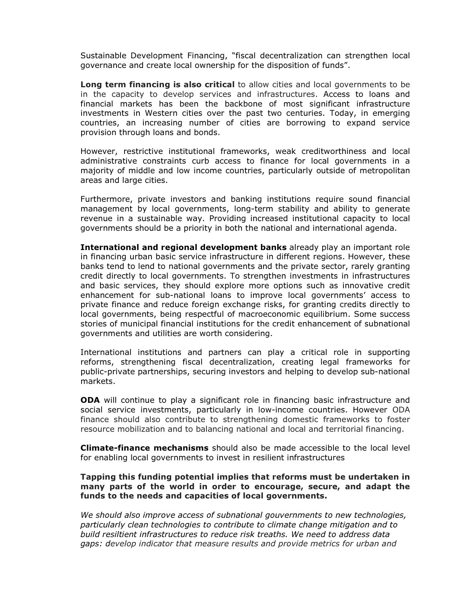Sustainable Development Financing, "fiscal decentralization can strengthen local governance and create local ownership for the disposition of funds".

**Long term financing is also critical** to allow cities and local governments to be in the capacity to develop services and infrastructures. Access to loans and financial markets has been the backbone of most significant infrastructure investments in Western cities over the past two centuries. Today, in emerging countries, an increasing number of cities are borrowing to expand service provision through loans and bonds.

However, restrictive institutional frameworks, weak creditworthiness and local administrative constraints curb access to finance for local governments in a majority of middle and low income countries, particularly outside of metropolitan areas and large cities.

Furthermore, private investors and banking institutions require sound financial management by local governments, long-term stability and ability to generate revenue in a sustainable way. Providing increased institutional capacity to local governments should be a priority in both the national and international agenda.

International and regional development banks already play an important role in financing urban basic service infrastructure in different regions. However, these banks tend to lend to national governments and the private sector, rarely granting credit directly to local governments. To strengthen investments in infrastructures and basic services, they should explore more options such as innovative credit enhancement for sub-national loans to improve local governments' access to private finance and reduce foreign exchange risks, for granting credits directly to local governments, being respectful of macroeconomic equilibrium. Some success stories of municipal financial institutions for the credit enhancement of subnational governments and utilities are worth considering.

International institutions and partners can play a critical role in supporting reforms, strengthening fiscal decentralization, creating legal frameworks for public-private partnerships, securing investors and helping to develop sub-national markets.

ODA will continue to play a significant role in financing basic infrastructure and social service investments, particularly in low-income countries. However ODA finance should also contribute to strengthening domestic frameworks to foster resource mobilization and to balancing national and local and territorial financing.

**Climate-finance mechanisms** should also be made accessible to the local level for enabling local governments to invest in resilient infrastructures

### Tapping this funding potential implies that reforms must be undertaken in many parts of the world in order to encourage, secure, and adapt the funds to the needs and capacities of local governments.

*We should also improve access of subnational gouvernments to new technologies, particularly clean technologies to contribute to climate change mitigation and to build resiltient infrastructures to reduce risk treaths. We need to address data gaps: develop indicator that measure results and provide metrics for urban and*